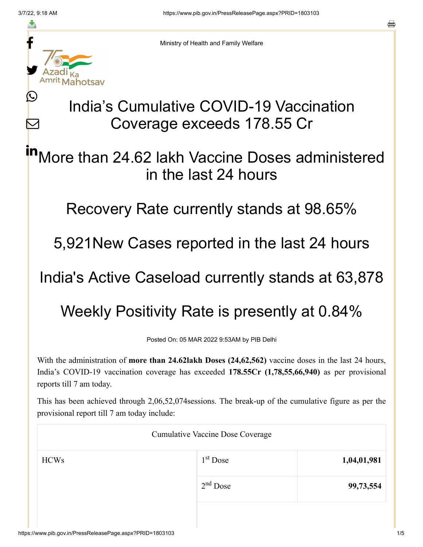≛

Ŀ

 $\bm{\nabla}$ 

Ministry of Health and Family Welfare

## India's Cumulative COVID-19 Vaccination Coverage exceeds 178.55 Cr

More than 24.62 lakh Vaccine Doses administered in the last 24 hours in

Recovery Rate currently stands at 98.65%

5,921New Cases reported in the last 24 hours

India's Active Caseload currently stands at 63,878

Weekly Positivity Rate is presently at 0.84%

Posted On: 05 MAR 2022 9:53AM by PIB Delhi

With the administration of **more than 24.62lakh Doses (24,62,562)** vaccine doses in the last 24 hours, India's COVID-19 vaccination coverage has exceeded **178.55Cr (1,78,55,66,940)** as per provisional reports till 7 am today.

This has been achieved through 2,06,52,074sessions. The break-up of the cumulative figure as per the provisional report till 7 am today include:

| <b>Cumulative Vaccine Dose Coverage</b> |            |             |  |  |
|-----------------------------------------|------------|-------------|--|--|
| <b>HCWs</b>                             | $1st$ Dose | 1,04,01,981 |  |  |
|                                         | $2nd$ Dose | 99,73,554   |  |  |
|                                         |            |             |  |  |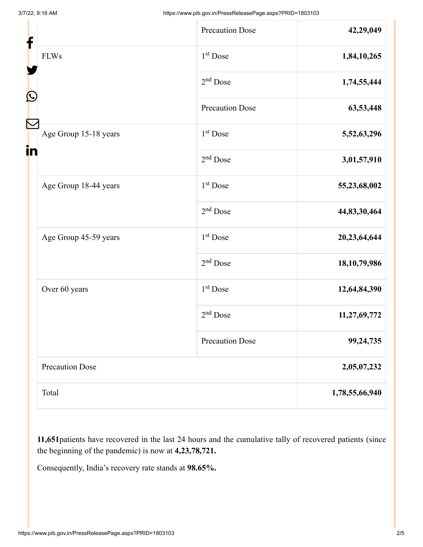| f<br>Ŀ |                        | <b>Precaution Dose</b> | 42,29,049       |
|--------|------------------------|------------------------|-----------------|
|        | <b>FLWs</b>            | 1 <sup>st</sup> Dose   | 1,84,10,265     |
|        |                        | $2nd$ Dose             | 1,74,55,444     |
|        |                        | <b>Precaution Dose</b> | 63,53,448       |
| in     | Age Group 15-18 years  | 1 <sup>st</sup> Dose   | 5,52,63,296     |
|        |                        | $2nd$ Dose             | 3,01,57,910     |
|        | Age Group 18-44 years  | 1 <sup>st</sup> Dose   | 55,23,68,002    |
|        |                        | $2nd$ Dose             | 44,83,30,464    |
|        | Age Group 45-59 years  | 1 <sup>st</sup> Dose   | 20,23,64,644    |
|        |                        | $2nd$ Dose             | 18, 10, 79, 986 |
|        | Over 60 years          | $1st$ Dose             | 12,64,84,390    |
|        |                        | $2nd$ Dose             | 11,27,69,772    |
|        |                        | <b>Precaution Dose</b> | 99,24,735       |
|        | <b>Precaution Dose</b> |                        | 2,05,07,232     |
|        | Total                  |                        | 1,78,55,66,940  |

**11,651**patients have recovered in the last 24 hours and the cumulative tally of recovered patients (since the beginning of the pandemic) is now at **4,23,78,721.**

Consequently, India's recovery rate stands at **98.65%.**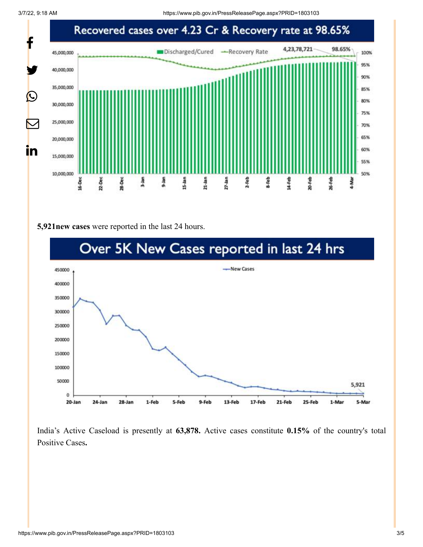3/7/22, 9:18 AM https://www.pib.gov.in/PressReleasePage.aspx?PRID=1803103



## **5,921new cases** were reported in the last 24 hours.



India's Active Caseload is presently at **63,878.** Active cases constitute **0.15%** of the country's total Positive Cases**.**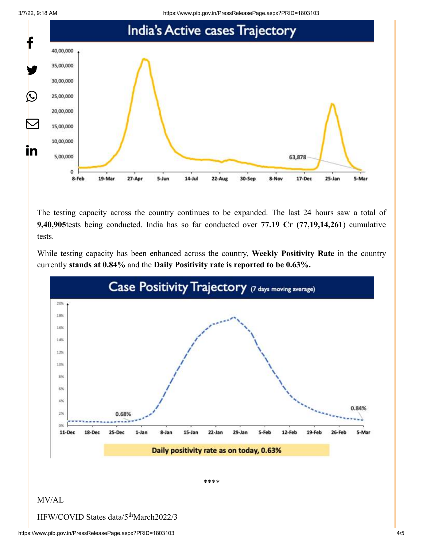3/7/22, 9:18 AM https://www.pib.gov.in/PressReleasePage.aspx?PRID=1803103



The testing capacity across the country continues to be expanded. The last 24 hours saw a total of **9,40,905**tests being conducted. India has so far conducted over **77.19 Cr (77,19,14,261**) cumulative tests.

While testing capacity has been enhanced across the country, **Weekly Positivity Rate** in the country currently **stands at 0.84%** and the **Daily Positivity rate is reported to be 0.63%.**